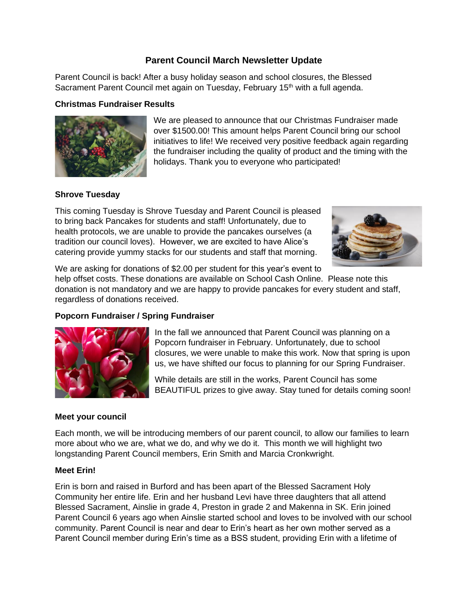# **Parent Council March Newsletter Update**

Parent Council is back! After a busy holiday season and school closures, the Blessed Sacrament Parent Council met again on Tuesday, February 15<sup>th</sup> with a full agenda.

#### **Christmas Fundraiser Results**



We are pleased to announce that our Christmas Fundraiser made over \$1500.00! This amount helps Parent Council bring our school initiatives to life! We received very positive feedback again regarding the fundraiser including the quality of product and the timing with the holidays. Thank you to everyone who participated!

## **Shrove Tuesday**

This coming Tuesday is Shrove Tuesday and Parent Council is pleased to bring back Pancakes for students and staff! Unfortunately, due to health protocols, we are unable to provide the pancakes ourselves (a tradition our council loves). However, we are excited to have Alice's catering provide yummy stacks for our students and staff that morning.



We are asking for donations of \$2.00 per student for this year's event to help offset costs. These donations are available on School Cash Online. Please note this donation is not mandatory and we are happy to provide pancakes for every student and staff, regardless of donations received.

## **Popcorn Fundraiser / Spring Fundraiser**



In the fall we announced that Parent Council was planning on a Popcorn fundraiser in February. Unfortunately, due to school closures, we were unable to make this work. Now that spring is upon us, we have shifted our focus to planning for our Spring Fundraiser.

While details are still in the works, Parent Council has some BEAUTIFUL prizes to give away. Stay tuned for details coming soon!

## **Meet your council**

Each month, we will be introducing members of our parent council, to allow our families to learn more about who we are, what we do, and why we do it. This month we will highlight two longstanding Parent Council members, Erin Smith and Marcia Cronkwright.

## **Meet Erin!**

Erin is born and raised in Burford and has been apart of the Blessed Sacrament Holy Community her entire life. Erin and her husband Levi have three daughters that all attend Blessed Sacrament, Ainslie in grade 4, Preston in grade 2 and Makenna in SK. Erin joined Parent Council 6 years ago when Ainslie started school and loves to be involved with our school community. Parent Council is near and dear to Erin's heart as her own mother served as a Parent Council member during Erin's time as a BSS student, providing Erin with a lifetime of